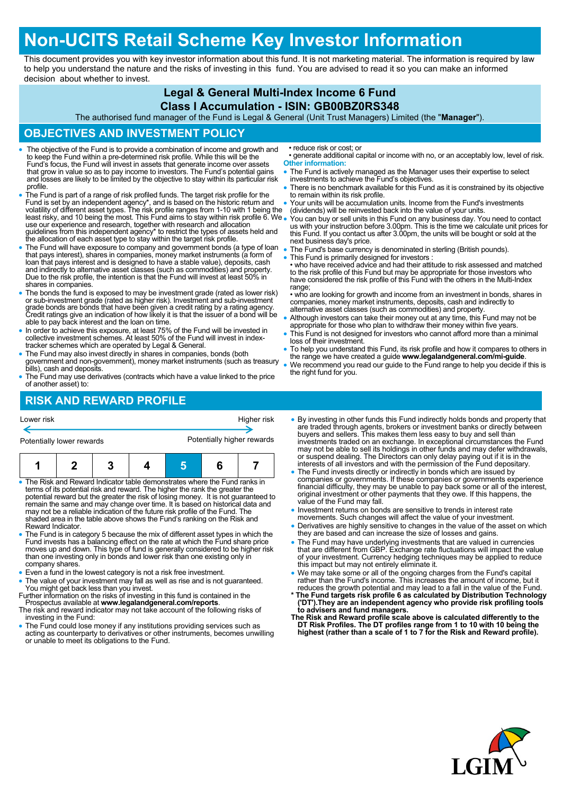## **Non-UCITS Retail Scheme Key Investor Information**

This document provides you with key investor information about this fund. It is not marketing material. The information is required by law to help you understand the nature and the risks of investing in this fund. You are advised to read it so you can make an informed decision about whether to invest.

### **Legal & General Multi-Index Income 6 Fund**

#### **Class I Accumulation - ISIN: GB00BZ0RS348**

The authorised fund manager of the Fund is Legal & General (Unit Trust Managers) Limited (the "**Manager**").

#### **OBJECTIVES AND INVESTMENT POLICY**

- The objective of the Fund is to provide a combination of income and growth and to keep the Fund within a pre-determined risk profile. While this will be the Fund's focus, the Fund will invest in assets that generate income over assets that grow in value so as to pay income to investors. The Fund's potential gains and losses are likely to be limited by the objective to stay within its particular risk profile.
- The Fund is part of a range of risk profiled funds. The target risk profile for the Fund is set by an independent agency\*, and is based on the historic return and volatility of different asset types. The risk profile ranges from 1-10 with 1 being the least risky, and 10 being the most. This Fund aims to stay within risk profile 6. We use our experience and research, together with research and allocation guidelines from this independent agency\* to restrict the types of assets held and the allocation of each asset type to stay within the target risk profile.
- The Fund will have exposure to company and government bonds (a type of loan<br>that pays interest), shares in companies, money market instruments (a form of<br>loan that pays interest and is designed to have a stable value), d and indirectly to alternative asset classes (such as commodities) and property. Due to the risk profile, the intention is that the Fund will invest at least 50% in shares in companies.
- The bonds the fund is exposed to may be investment grade (rated as lower risk) or sub-investment grade (rated as higher risk). Investment and sub-investment grade bonds are bonds that have been given a credit rating by a able to pay back interest and the loan on time.
- In order to achieve this exposure, at least 75% of the Fund will be invested in collective investment schemes. At least 50% of the Fund will invest in indextracker schemes which are operated by Legal & General.
- The Fund may also invest directly in shares in companies, bonds (both government and non-government), money market instruments (such as treasury bills), cash and deposits.
- The Fund may use derivatives (contracts which have a value linked to the price of another asset) to:

## **RISK AND REWARD PROFILE**

• reduce risk or cost; or

- generate additional capital or income with no, or an acceptably low, level of risk. **Other information:**
- The Fund is actively managed as the Manager uses their expertise to select investments to achieve the Fund's objectives.
- There is no benchmark available for this Fund as it is constrained by its objective to remain within its risk profile.
- Your units will be accumulation units. Income from the Fund's investments (dividends) will be reinvested back into the value of your units.
- You can buy or sell units in this Fund on any business day. You need to contact us with your instruction before 3.00pm. This is the time we calculate unit prices for this Fund. If you contact us after 3.00pm, the units will be bought or sold at the next business day's price.
- The Fund's base currency is denominated in sterling (British pounds).
- This Fund is primarily designed for investors :

• who have received advice and had their attitude to risk assessed and matched to the risk profile of this Fund but may be appropriate for those investors who have considered the risk profile of this Fund with the others in the Multi-Index range:

• who are looking for growth and income from an investment in bonds, shares in companies, money market instruments, deposits, cash and indirectly to alternative asset classes (such as commodities) and property.

- Although investors can take their money out at any time, this Fund may not be appropriate for those who plan to withdraw their money within five years
- This Fund is not designed for investors who cannot afford more than a minimal loss of their investment.
- To help you understand this Fund, its risk profile and how it compares to others in the range we have created a guide **www.legalandgeneral.com/mi-guide**.
- We recommend you read our guide to the Fund range to help you decide if this is the right fund for you.

# Potentially lower rewards **Potentially higher rewards 1 2 3 4 5 6 7**

Lower risk Higher risk

- The Risk and Reward Indicator table demonstrates where the Fund ranks in terms of its potential risk and reward. The higher the rank the greater the potential reward but the greater the risk of losing money. It is not guaranteed to remain the same and may change over time. It is based on historical data and may not be a reliable indication of the future risk profile of the Fund. The shaded area in the table above shows the Fund's ranking on the Risk and Reward Indicator.
- The Fund is in category 5 because the mix of different asset types in which the Fund invests has a balancing effect on the rate at which the Fund share price moves up and down. This type of fund is generally considered to be higher risk than one investing only in bonds and lower risk than one existing only in company shares.
- Even a fund in the lowest category is not a risk free investment.
- The value of your investment may fall as well as rise and is not guaranteed. You might get back less than you invest. Further information on the risks of investing in this fund is contained in the
- Prospectus available at **www.legalandgeneral.com/reports**.
- The risk and reward indicator may not take account of the following risks of investing in the Fund:
- The Fund could lose money if any institutions providing services such as acting as counterparty to derivatives or other instruments, becomes unwilling or unable to meet its obligations to the Fund.
- By investing in other funds this Fund indirectly holds bonds and property that are traded through agents, brokers or investment banks or directly between buyers and sellers. This makes them less easy to buy and sell than investments traded on an exchange. In exceptional circumstances the Fund may not be able to sell its holdings in other funds and may defer withdrawals, or suspend dealing. The Directors can only delay paying out if it is in the interests of all investors and with the permission of the Fund depositary.
- The Fund invests directly or indirectly in bonds which are issued by companies or governments. If these companies or governments experience financial difficulty, they may be unable to pay back some or all of the interest, original investment or other payments that they owe. If this happens, the value of the Fund may fall.
- Investment returns on bonds are sensitive to trends in interest rate
- movements. Such changes will affect the value of your investment. Derivatives are highly sensitive to changes in the value of the asset on which they are based and can increase the size of losses and gains.
- The Fund may have underlying investments that are valued in currencies that are different from GBP. Exchange rate fluctuations will impact the value of your investment. Currency hedging techniques may be applied to reduce this impact but may not entirely eliminate it.
- We may take some or all of the ongoing charges from the Fund's capital<br>rather than the Fund's income. This increases the amount of income, but it<br>reduces the growth potential and may lead to a fall in the value of the Fu
- **\* The Fund targets risk profile 6 as calculated by Distribution Technology ('DT').They are an independent agency who provide risk profiling tools to advisers and fund managers. The Risk and Reward profile scale above is calculated differently to the**
- **DT Risk Profiles. The DT profiles range from 1 to 10 with 10 being the highest (rather than a scale of 1 to 7 for the Risk and Reward profile).**